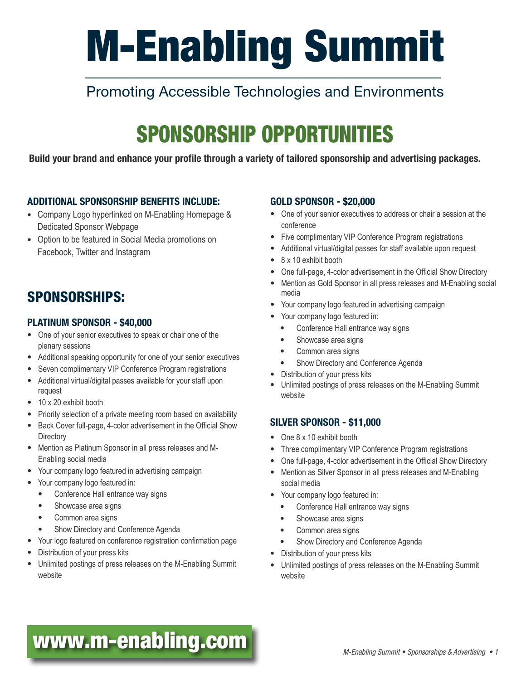# M-Enabling Summit

## Promoting Accessible Technologies and Environments

## SPONSORSHIP OPPORTUNITIES

Build your brand and enhance your profile through a variety of tailored sponsorship and advertising packages.

## ADDITIONAL SPONSORSHIP BENEFITS INCLUDE:

- Company Logo hyperlinked on M-Enabling Homepage & Dedicated Sponsor Webpage
- Option to be featured in Social Media promotions on Facebook, Twitter and Instagram

## SPONSORSHIPS:

## PLATINUM SPONSOR - \$40,000

- One of your senior executives to speak or chair one of the plenary sessions
- Additional speaking opportunity for one of your senior executives
- Seven complimentary VIP Conference Program registrations
- Additional virtual/digital passes available for your staff upon request
- 10 x 20 exhibit booth
- Priority selection of a private meeting room based on availability
- Back Cover full-page, 4-color advertisement in the Official Show **Directory**
- Mention as Platinum Sponsor in all press releases and M-Enabling social media
- Your company logo featured in advertising campaign
- Your company logo featured in:
	- Conference Hall entrance way signs
	- Showcase area signs
	- Common area signs
	- Show Directory and Conference Agenda
- Your logo featured on conference registration confirmation page
- Distribution of your press kits
- Unlimited postings of press releases on the M-Enabling Summit website

## GOLD SPONSOR - \$20,000

- One of your senior executives to address or chair a session at the conference
- Five complimentary VIP Conference Program registrations
- Additional virtual/digital passes for staff available upon request
- 8 x 10 exhibit booth
- One full-page, 4-color advertisement in the Official Show Directory
- Mention as Gold Sponsor in all press releases and M-Enabling social media
- Your company logo featured in advertising campaign
- Your company logo featured in:
	- Conference Hall entrance way signs
	- Showcase area signs
	- Common area signs
	- Show Directory and Conference Agenda
- Distribution of your press kits
- Unlimited postings of press releases on the M-Enabling Summit website

## SILVER SPONSOR - \$11,000

- One 8 x 10 exhibit booth
- Three complimentary VIP Conference Program registrations
- One full-page, 4-color advertisement in the Official Show Directory
- Mention as Silver Sponsor in all press releases and M-Enabling social media
- Your company logo featured in:
	- Conference Hall entrance way signs
	- Showcase area signs
	- Common area signs
	- Show Directory and Conference Agenda
- Distribution of your press kits
- Unlimited postings of press releases on the M-Enabling Summit website

## **[www.m-enabling.com](http://www.m-enabling.com)** *M-Enabling Summit • Sponsorships & Advertising • 1*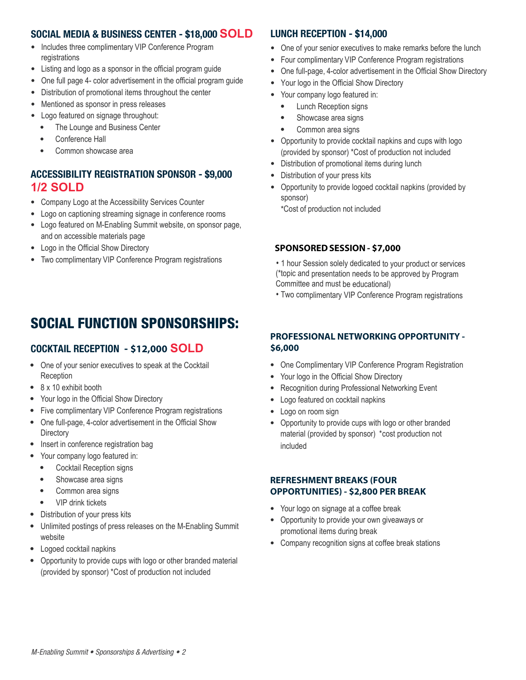## SOCIAL MEDIA & BUSINESS CENTER - \$18,000 **SOLD**

- Includes three complimentary VIP Conference Program registrations
- Listing and logo as a sponsor in the official program guide
- One full page 4- color advertisement in the official program guide
- Distribution of promotional items throughout the center
- Mentioned as sponsor in press releases
- Logo featured on signage throughout:
	- The Lounge and Business Center
	- Conference Hall
	- Common showcase area

## ACCESSIBILITY REGISTRATION SPONSOR - \$9,000 **1/2 SOLD**

- Company Logo at the Accessibility Services Counter
- Logo on captioning streaming signage in conference rooms
- Logo featured on M-Enabling Summit website, on sponsor page, and on accessible materials page
- Logo in the Official Show Directory
- Two complimentary VIP Conference Program registrations

## LUNCH RECEPTION - \$14,000

- One of your senior executives to make remarks before the lunch
- Four complimentary VIP Conference Program registrations
- One full-page, 4-color advertisement in the Official Show Directory
- Your logo in the Official Show Directory
- Your company logo featured in:
- **Lunch Reception signs**
- Showcase area signs
- Common area signs
- Opportunity to provide cocktail napkins and cups with logo (provided by sponsor) \*Cost of production not included
- Distribution of promotional items during lunch
- Distribution of your press kits
- Opportunity to provide logoed cocktail napkins (provided by sponsor)

\*Cost of production not included

## **SPONSORED SESSION- \$7,000**

- 1 hour Session solely dedicated to your product or services (\*topic and presentation needs to be approved by Program Committee and must be educational)
- Two complimentary VIP Conference Program registrations

## SOCIAL FUNCTION SPONSORSHIPS:

## COCKTAIL RECEPTION - **\$12,000 SOLD**

- One of your senior executives to speak at the Cocktail **Reception**
- 8 x 10 exhibit booth
- Your logo in the Official Show Directory
- Five complimentary VIP Conference Program registrations
- One full-page, 4-color advertisement in the Official Show **Directory**
- Insert in conference registration bag
- Your company logo featured in:
	- Cocktail Reception signs
	- Showcase area signs
	- Common area signs
	- VIP drink tickets
- Distribution of your press kits
- Unlimited postings of press releases on the M-Enabling Summit website
- Logoed cocktail napkins
- Opportunity to provide cups with logo or other branded material (provided by sponsor) \*Cost of production not included

## **PROFESSIONAL NETWORKING OPPORTUNITY - \$6,000**

- One Complimentary VIP Conference Program Registration
- Your logo in the Official Show Directory
- Recognition during Professional Networking Event
- Logo featured on cocktail napkins
- Logo on room sign
- Opportunity to provide cups with logo or other branded material (provided by sponsor) \* cost production not included

#### **REFRESHMENT BREAKS (FOUR OPPORTUNITIES) - \$2,800 PER BREAK**

- Your logo on signage at a coffee break
- Opportunity to provide your own giveaways or promotional items during break
- Company recognition signs at coffee break stations